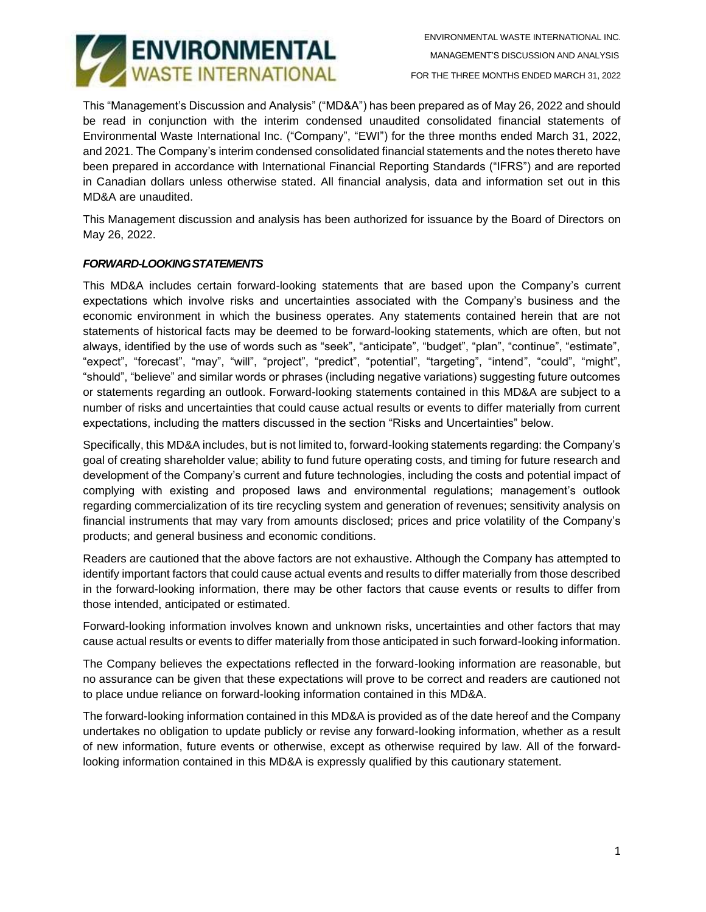

This "Management's Discussion and Analysis" ("MD&A") has been prepared as of May 26, 2022 and should be read in conjunction with the interim condensed unaudited consolidated financial statements of Environmental Waste International Inc. ("Company", "EWI") for the three months ended March 31, 2022, and 2021. The Company's interim condensed consolidated financial statements and the notes thereto have been prepared in accordance with International Financial Reporting Standards ("IFRS") and are reported in Canadian dollars unless otherwise stated. All financial analysis, data and information set out in this MD&A are unaudited.

This Management discussion and analysis has been authorized for issuance by the Board of Directors on May 26, 2022.

## *FORWARD-LOOKINGSTATEMENTS*

This MD&A includes certain forward-looking statements that are based upon the Company's current expectations which involve risks and uncertainties associated with the Company's business and the economic environment in which the business operates. Any statements contained herein that are not statements of historical facts may be deemed to be forward-looking statements, which are often, but not always, identified by the use of words such as "seek", "anticipate", "budget", "plan", "continue", "estimate", "expect", "forecast", "may", "will", "project", "predict", "potential", "targeting", "intend", "could", "might", "should", "believe" and similar words or phrases (including negative variations) suggesting future outcomes or statements regarding an outlook. Forward-looking statements contained in this MD&A are subject to a number of risks and uncertainties that could cause actual results or events to differ materially from current expectations, including the matters discussed in the section "Risks and Uncertainties" below.

Specifically, this MD&A includes, but is not limited to, forward-looking statements regarding: the Company's goal of creating shareholder value; ability to fund future operating costs, and timing for future research and development of the Company's current and future technologies, including the costs and potential impact of complying with existing and proposed laws and environmental regulations; management's outlook regarding commercialization of its tire recycling system and generation of revenues; sensitivity analysis on financial instruments that may vary from amounts disclosed; prices and price volatility of the Company's products; and general business and economic conditions.

Readers are cautioned that the above factors are not exhaustive. Although the Company has attempted to identify important factors that could cause actual events and results to differ materially from those described in the forward-looking information, there may be other factors that cause events or results to differ from those intended, anticipated or estimated.

Forward-looking information involves known and unknown risks, uncertainties and other factors that may cause actual results or events to differ materially from those anticipated in such forward-looking information.

The Company believes the expectations reflected in the forward-looking information are reasonable, but no assurance can be given that these expectations will prove to be correct and readers are cautioned not to place undue reliance on forward-looking information contained in this MD&A.

The forward-looking information contained in this MD&A is provided as of the date hereof and the Company undertakes no obligation to update publicly or revise any forward-looking information, whether as a result of new information, future events or otherwise, except as otherwise required by law. All of the forwardlooking information contained in this MD&A is expressly qualified by this cautionary statement.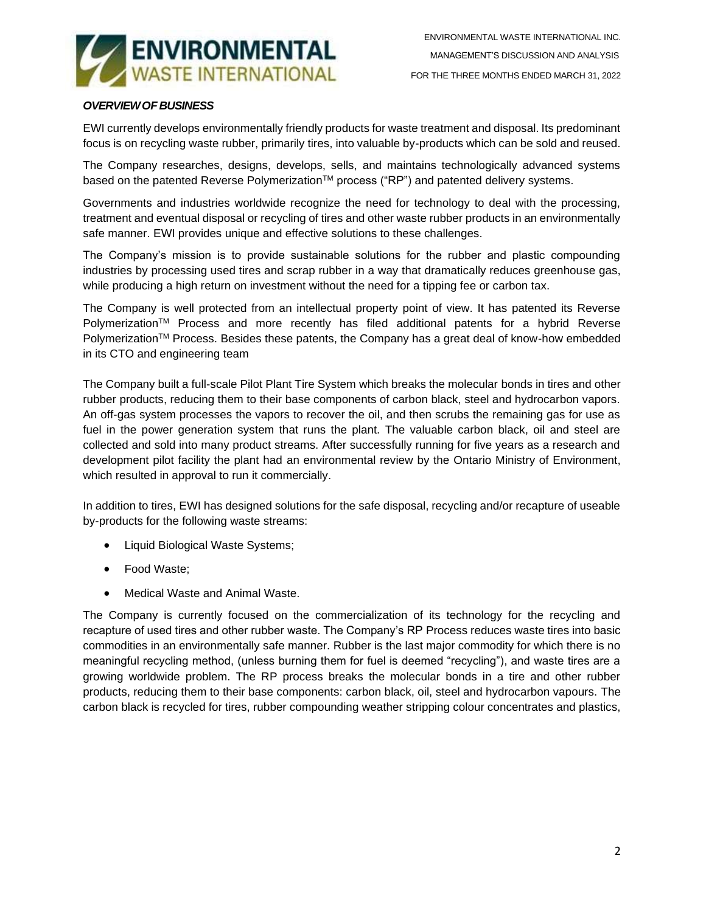

## *OVERVIEWOF BUSINESS*

EWI currently develops environmentally friendly products for waste treatment and disposal. Its predominant focus is on recycling waste rubber, primarily tires, into valuable by-products which can be sold and reused.

The Company researches, designs, develops, sells, and maintains technologically advanced systems based on the patented Reverse Polymerization™ process ("RP") and patented delivery systems.

Governments and industries worldwide recognize the need for technology to deal with the processing, treatment and eventual disposal or recycling of tires and other waste rubber products in an environmentally safe manner. EWI provides unique and effective solutions to these challenges.

The Company's mission is to provide sustainable solutions for the rubber and plastic compounding industries by processing used tires and scrap rubber in a way that dramatically reduces greenhouse gas, while producing a high return on investment without the need for a tipping fee or carbon tax.

The Company is well protected from an intellectual property point of view. It has patented its Reverse Polymerization™ Process and more recently has filed additional patents for a hybrid Reverse Polymerization<sup>TM</sup> Process. Besides these patents, the Company has a great deal of know-how embedded in its CTO and engineering team

The Company built a full-scale Pilot Plant Tire System which breaks the molecular bonds in tires and other rubber products, reducing them to their base components of carbon black, steel and hydrocarbon vapors. An off-gas system processes the vapors to recover the oil, and then scrubs the remaining gas for use as fuel in the power generation system that runs the plant. The valuable carbon black, oil and steel are collected and sold into many product streams. After successfully running for five years as a research and development pilot facility the plant had an environmental review by the Ontario Ministry of Environment, which resulted in approval to run it commercially.

In addition to tires, EWI has designed solutions for the safe disposal, recycling and/or recapture of useable by-products for the following waste streams:

- Liquid Biological Waste Systems;
- Food Waste;
- Medical Waste and Animal Waste.

The Company is currently focused on the commercialization of its technology for the recycling and recapture of used tires and other rubber waste. The Company's RP Process reduces waste tires into basic commodities in an environmentally safe manner. Rubber is the last major commodity for which there is no meaningful recycling method, (unless burning them for fuel is deemed "recycling"), and waste tires are a growing worldwide problem. The RP process breaks the molecular bonds in a tire and other rubber products, reducing them to their base components: carbon black, oil, steel and hydrocarbon vapours. The carbon black is recycled for tires, rubber compounding weather stripping colour concentrates and plastics,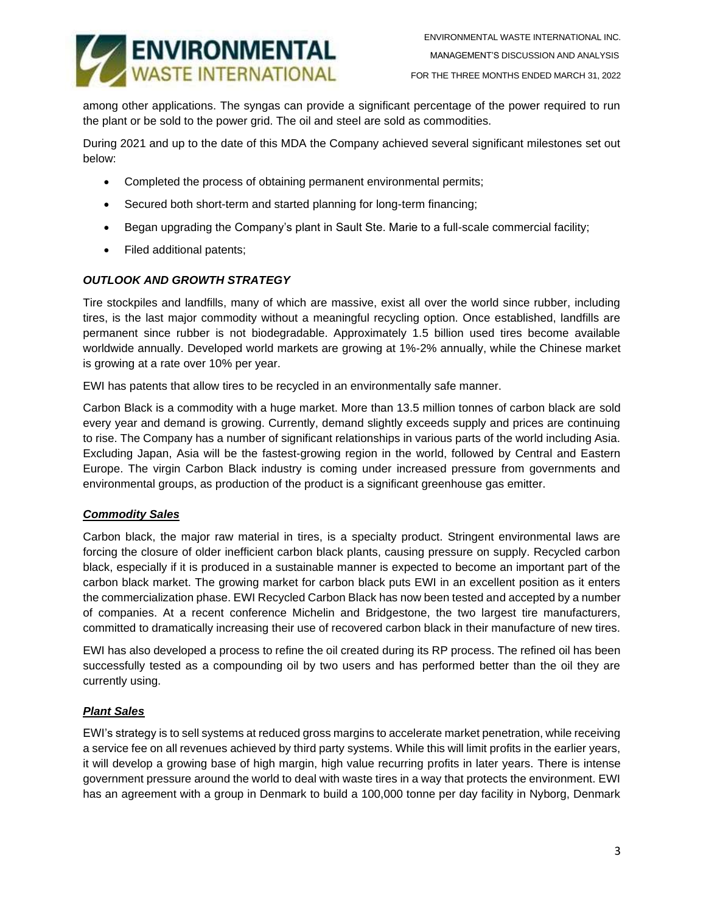

among other applications. The syngas can provide a significant percentage of the power required to run the plant or be sold to the power grid. The oil and steel are sold as commodities.

During 2021 and up to the date of this MDA the Company achieved several significant milestones set out below:

- Completed the process of obtaining permanent environmental permits;
- Secured both short-term and started planning for long-term financing;
- Began upgrading the Company's plant in Sault Ste. Marie to a full-scale commercial facility;
- Filed additional patents;

### *OUTLOOK AND GROWTH STRATEGY*

Tire stockpiles and landfills, many of which are massive, exist all over the world since rubber, including tires, is the last major commodity without a meaningful recycling option. Once established, landfills are permanent since rubber is not biodegradable. Approximately 1.5 billion used tires become available worldwide annually. Developed world markets are growing at 1%-2% annually, while the Chinese market is growing at a rate over 10% per year.

EWI has patents that allow tires to be recycled in an environmentally safe manner.

Carbon Black is a commodity with a huge market. More than 13.5 million tonnes of carbon black are sold every year and demand is growing. Currently, demand slightly exceeds supply and prices are continuing to rise. The Company has a number of significant relationships in various parts of the world including Asia. Excluding Japan, Asia will be the fastest-growing region in the world, followed by Central and Eastern Europe. The virgin Carbon Black industry is coming under increased pressure from governments and environmental groups, as production of the product is a significant greenhouse gas emitter.

#### *Commodity Sales*

Carbon black, the major raw material in tires, is a specialty product. Stringent environmental laws are forcing the closure of older inefficient carbon black plants, causing pressure on supply. Recycled carbon black, especially if it is produced in a sustainable manner is expected to become an important part of the carbon black market. The growing market for carbon black puts EWI in an excellent position as it enters the commercialization phase. EWI Recycled Carbon Black has now been tested and accepted by a number of companies. At a recent conference Michelin and Bridgestone, the two largest tire manufacturers, committed to dramatically increasing their use of recovered carbon black in their manufacture of new tires.

EWI has also developed a process to refine the oil created during its RP process. The refined oil has been successfully tested as a compounding oil by two users and has performed better than the oil they are currently using.

#### *Plant Sales*

EWI's strategy is to sell systems at reduced gross margins to accelerate market penetration, while receiving a service fee on all revenues achieved by third party systems. While this will limit profits in the earlier years, it will develop a growing base of high margin, high value recurring profits in later years. There is intense government pressure around the world to deal with waste tires in a way that protects the environment. EWI has an agreement with a group in Denmark to build a 100,000 tonne per day facility in Nyborg, Denmark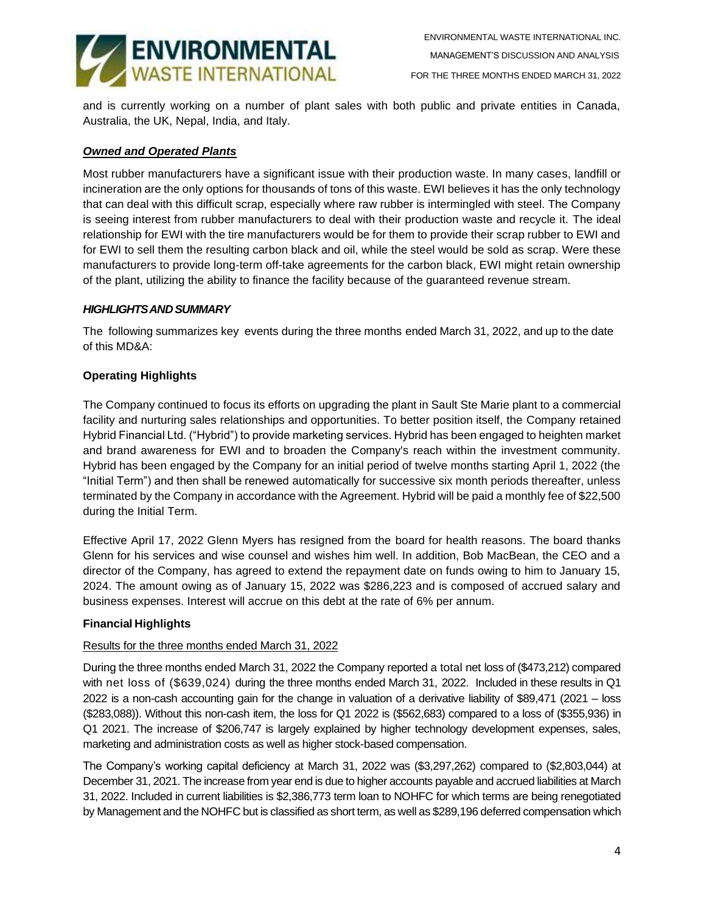

and is currently working on a number of plant sales with both public and private entities in Canada, Australia, the UK, Nepal, India, and Italy.

### *Owned and Operated Plants*

Most rubber manufacturers have a significant issue with their production waste. In many cases, landfill or incineration are the only options for thousands of tons of this waste. EWI believes it has the only technology that can deal with this difficult scrap, especially where raw rubber is intermingled with steel. The Company is seeing interest from rubber manufacturers to deal with their production waste and recycle it. The ideal relationship for EWI with the tire manufacturers would be for them to provide their scrap rubber to EWI and for EWI to sell them the resulting carbon black and oil, while the steel would be sold as scrap. Were these manufacturers to provide long-term off-take agreements for the carbon black, EWI might retain ownership of the plant, utilizing the ability to finance the facility because of the guaranteed revenue stream.

### *HIGHLIGHTSANDSUMMARY*

The following summarizes key events during the three months ended March 31, 2022, and up to the date of this MD&A:

## **Operating Highlights**

The Company continued to focus its efforts on upgrading the plant in Sault Ste Marie plant to a commercial facility and nurturing sales relationships and opportunities. To better position itself, the Company retained Hybrid Financial Ltd. ("Hybrid") to provide marketing services. Hybrid has been engaged to heighten market and brand awareness for EWI and to broaden the Company's reach within the investment community. Hybrid has been engaged by the Company for an initial period of twelve months starting April 1, 2022 (the "Initial Term") and then shall be renewed automatically for successive six month periods thereafter, unless terminated by the Company in accordance with the Agreement. Hybrid will be paid a monthly fee of \$22,500 during the Initial Term.

Effective April 17, 2022 Glenn Myers has resigned from the board for health reasons. The board thanks Glenn for his services and wise counsel and wishes him well. In addition, Bob MacBean, the CEO and a director of the Company, has agreed to extend the repayment date on funds owing to him to January 15, 2024. The amount owing as of January 15, 2022 was \$286,223 and is composed of accrued salary and business expenses. Interest will accrue on this debt at the rate of 6% per annum.

## **Financial Highlights**

#### Results for the three months ended March 31, 2022

During the three months ended March 31, 2022 the Company reported a total net loss of (\$473,212) compared with net loss of (\$639,024) during the three months ended March 31, 2022. Included in these results in Q1 2022 is a non-cash accounting gain for the change in valuation of a derivative liability of \$89,471 (2021 – loss (\$283,088)). Without this non-cash item, the loss for Q1 2022 is (\$562,683) compared to a loss of (\$355,936) in Q1 2021. The increase of \$206,747 is largely explained by higher technology development expenses, sales, marketing and administration costs as well as higher stock-based compensation.

The Company's working capital deficiency at March 31, 2022 was (\$3,297,262) compared to (\$2,803,044) at December 31, 2021. The increase from year end is due to higher accounts payable and accrued liabilities at March 31, 2022. Included in current liabilities is \$2,386,773 term loan to NOHFC for which terms are being renegotiated by Management and the NOHFC but is classified as short term, as well as \$289,196 deferred compensation which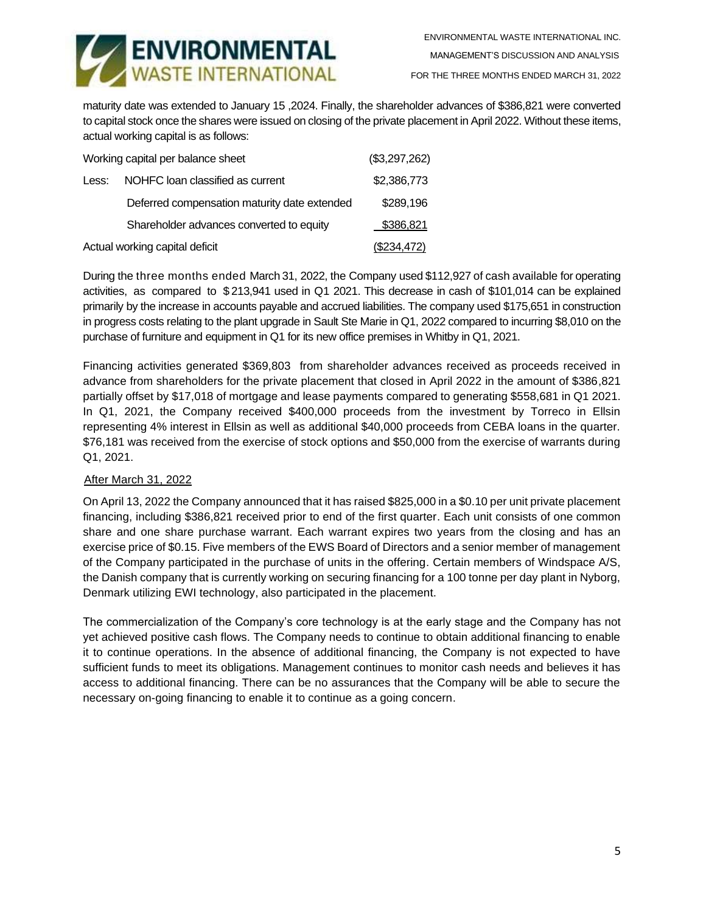

FOR THE THREE MONTHS ENDED MARCH 31, 2022

maturity date was extended to January 15 ,2024. Finally, the shareholder advances of \$386,821 were converted to capital stock once the shares were issued on closing of the private placement in April 2022. Without these items, actual working capital is as follows:

| Working capital per balance sheet | (\$3,297,262)                                |             |
|-----------------------------------|----------------------------------------------|-------------|
| Less:                             | NOHFC loan classified as current             | \$2,386,773 |
|                                   | Deferred compensation maturity date extended | \$289,196   |
|                                   | Shareholder advances converted to equity     | \$386,821   |
| Actual working capital deficit    | (\$234,472)                                  |             |

During the three months ended March 31, 2022, the Company used \$112,927 of cash available for operating activities, as compared to \$ 213,941 used in Q1 2021. This decrease in cash of \$101,014 can be explained primarily by the increase in accounts payable and accrued liabilities. The company used \$175,651 in construction in progress costs relating to the plant upgrade in Sault Ste Marie in Q1, 2022 compared to incurring \$8,010 on the purchase of furniture and equipment in Q1 for its new office premises in Whitby in Q1, 2021.

Financing activities generated \$369,803 from shareholder advances received as proceeds received in advance from shareholders for the private placement that closed in April 2022 in the amount of \$386,821 partially offset by \$17,018 of mortgage and lease payments compared to generating \$558,681 in Q1 2021. In Q1, 2021, the Company received \$400,000 proceeds from the investment by Torreco in Ellsin representing 4% interest in Ellsin as well as additional \$40,000 proceeds from CEBA loans in the quarter. \$76,181 was received from the exercise of stock options and \$50,000 from the exercise of warrants during Q1, 2021.

## After March 31, 2022

On April 13, 2022 the Company announced that it has raised \$825,000 in a \$0.10 per unit private placement financing, including \$386,821 received prior to end of the first quarter. Each unit consists of one common share and one share purchase warrant. Each warrant expires two years from the closing and has an exercise price of \$0.15. Five members of the EWS Board of Directors and a senior member of management of the Company participated in the purchase of units in the offering. Certain members of Windspace A/S, the Danish company that is currently working on securing financing for a 100 tonne per day plant in Nyborg, Denmark utilizing EWI technology, also participated in the placement.

The commercialization of the Company's core technology is at the early stage and the Company has not yet achieved positive cash flows. The Company needs to continue to obtain additional financing to enable it to continue operations. In the absence of additional financing, the Company is not expected to have sufficient funds to meet its obligations. Management continues to monitor cash needs and believes it has access to additional financing. There can be no assurances that the Company will be able to secure the necessary on-going financing to enable it to continue as a going concern.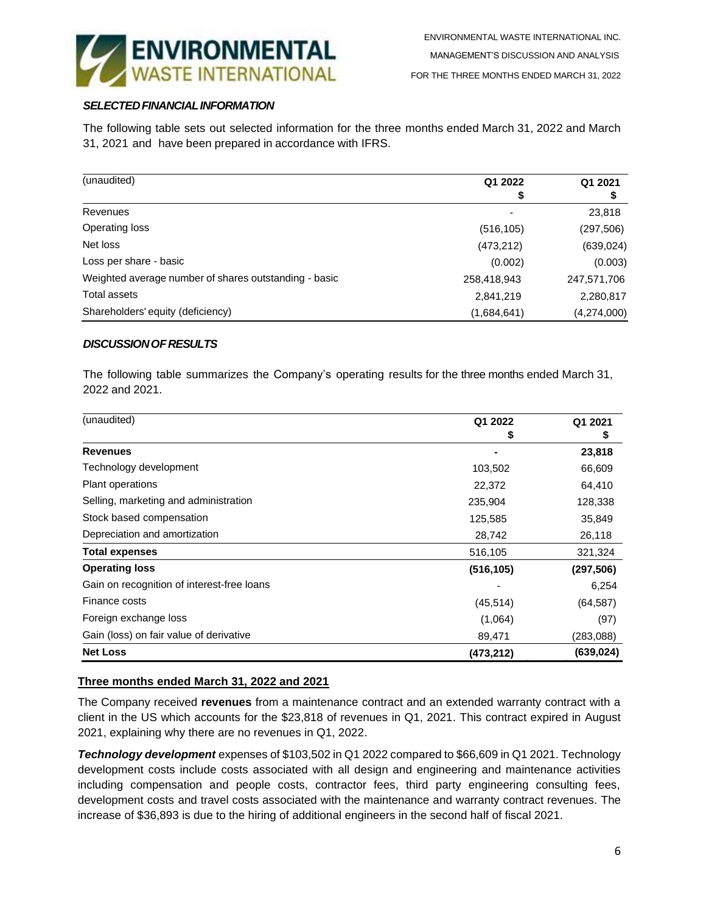

## *SELECTEDFINANCIALINFORMATION*

The following table sets out selected information for the three months ended March 31, 2022 and March 31, 2021 and have been prepared in accordance with IFRS.

| (unaudited)                                           | Q1 2022                  | Q1 2021     |
|-------------------------------------------------------|--------------------------|-------------|
|                                                       | \$                       | \$          |
| Revenues                                              | $\overline{\phantom{0}}$ | 23,818      |
| Operating loss                                        | (516, 105)               | (297, 506)  |
| Net loss                                              | (473, 212)               | (639, 024)  |
| Loss per share - basic                                | (0.002)                  | (0.003)     |
| Weighted average number of shares outstanding - basic | 258,418,943              | 247,571,706 |
| Total assets                                          | 2,841,219                | 2,280,817   |
| Shareholders' equity (deficiency)                     | (1,684,641)              | (4,274,000) |

### *DISCUSSIONOFRESULTS*

The following table summarizes the Company's operating results for the three months ended March 31, 2022 and 2021.

| Q1 2022    | Q1 2021    |
|------------|------------|
| \$         | \$         |
|            | 23,818     |
| 103,502    | 66,609     |
| 22,372     | 64,410     |
| 235,904    | 128,338    |
| 125,585    | 35,849     |
| 28,742     | 26,118     |
| 516,105    | 321,324    |
| (516, 105) | (297, 506) |
|            | 6,254      |
| (45, 514)  | (64, 587)  |
| (1,064)    | (97)       |
| 89,471     | (283,088)  |
| (473,212)  | (639, 024) |
|            |            |

## **Three months ended March 31, 2022 and 2021**

The Company received **revenues** from a maintenance contract and an extended warranty contract with a client in the US which accounts for the \$23,818 of revenues in Q1, 2021. This contract expired in August 2021, explaining why there are no revenues in Q1, 2022.

*Technology development* expenses of \$103,502 in Q1 2022 compared to \$66,609 in Q1 2021. Technology development costs include costs associated with all design and engineering and maintenance activities including compensation and people costs, contractor fees, third party engineering consulting fees, development costs and travel costs associated with the maintenance and warranty contract revenues. The increase of \$36,893 is due to the hiring of additional engineers in the second half of fiscal 2021.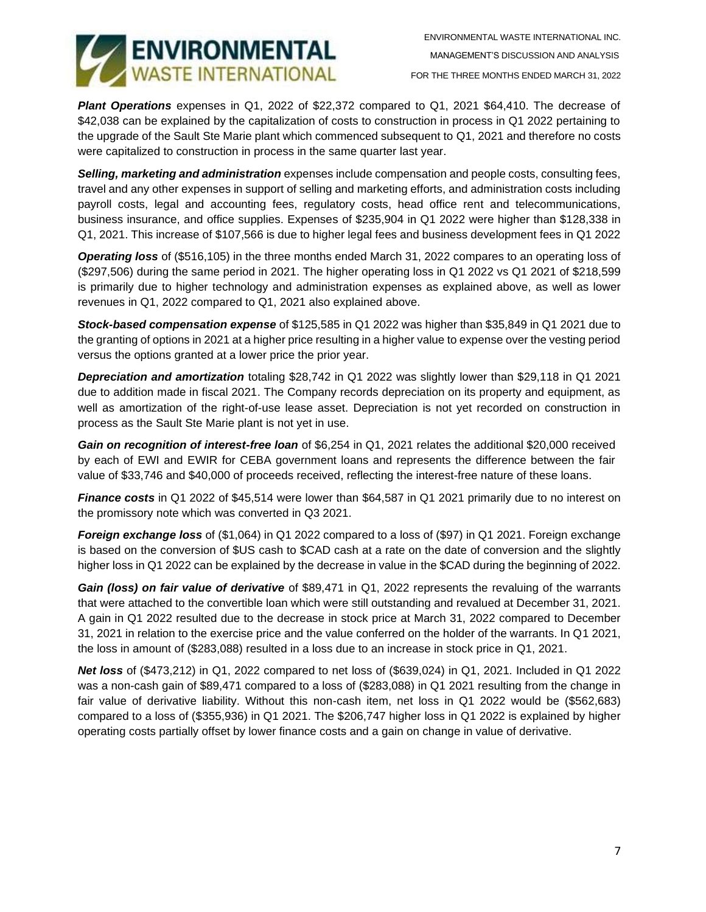

*Plant Operations* expenses in Q1, 2022 of \$22,372 compared to Q1, 2021 \$64,410. The decrease of \$42,038 can be explained by the capitalization of costs to construction in process in Q1 2022 pertaining to the upgrade of the Sault Ste Marie plant which commenced subsequent to Q1, 2021 and therefore no costs were capitalized to construction in process in the same quarter last year.

*Selling, marketing and administration* expenses include compensation and people costs, consulting fees, travel and any other expenses in support of selling and marketing efforts, and administration costs including payroll costs, legal and accounting fees, regulatory costs, head office rent and telecommunications, business insurance, and office supplies. Expenses of \$235,904 in Q1 2022 were higher than \$128,338 in Q1, 2021. This increase of \$107,566 is due to higher legal fees and business development fees in Q1 2022

*Operating loss* of (\$516,105) in the three months ended March 31, 2022 compares to an operating loss of (\$297,506) during the same period in 2021. The higher operating loss in Q1 2022 vs Q1 2021 of \$218,599 is primarily due to higher technology and administration expenses as explained above, as well as lower revenues in Q1, 2022 compared to Q1, 2021 also explained above.

*Stock-based compensation expense* of \$125,585 in Q1 2022 was higher than \$35,849 in Q1 2021 due to the granting of options in 2021 at a higher price resulting in a higher value to expense over the vesting period versus the options granted at a lower price the prior year.

*Depreciation and amortization* totaling \$28,742 in Q1 2022 was slightly lower than \$29,118 in Q1 2021 due to addition made in fiscal 2021. The Company records depreciation on its property and equipment, as well as amortization of the right-of-use lease asset. Depreciation is not yet recorded on construction in process as the Sault Ste Marie plant is not yet in use.

*Gain on recognition of interest-free loan* of \$6,254 in Q1, 2021 relates the additional \$20,000 received by each of EWI and EWIR for CEBA government loans and represents the difference between the fair value of \$33,746 and \$40,000 of proceeds received, reflecting the interest-free nature of these loans.

*Finance costs* in Q1 2022 of \$45,514 were lower than \$64,587 in Q1 2021 primarily due to no interest on the promissory note which was converted in Q3 2021.

*Foreign exchange loss* of (\$1,064) in Q1 2022 compared to a loss of (\$97) in Q1 2021. Foreign exchange is based on the conversion of \$US cash to \$CAD cash at a rate on the date of conversion and the slightly higher loss in Q1 2022 can be explained by the decrease in value in the \$CAD during the beginning of 2022.

*Gain (loss) on fair value of derivative* of \$89,471 in Q1, 2022 represents the revaluing of the warrants that were attached to the convertible loan which were still outstanding and revalued at December 31, 2021. A gain in Q1 2022 resulted due to the decrease in stock price at March 31, 2022 compared to December 31, 2021 in relation to the exercise price and the value conferred on the holder of the warrants. In Q1 2021, the loss in amount of (\$283,088) resulted in a loss due to an increase in stock price in Q1, 2021.

*Net loss* of (\$473,212) in Q1, 2022 compared to net loss of (\$639,024) in Q1, 2021. Included in Q1 2022 was a non-cash gain of \$89,471 compared to a loss of (\$283,088) in Q1 2021 resulting from the change in fair value of derivative liability. Without this non-cash item, net loss in Q1 2022 would be (\$562,683) compared to a loss of (\$355,936) in Q1 2021. The \$206,747 higher loss in Q1 2022 is explained by higher operating costs partially offset by lower finance costs and a gain on change in value of derivative.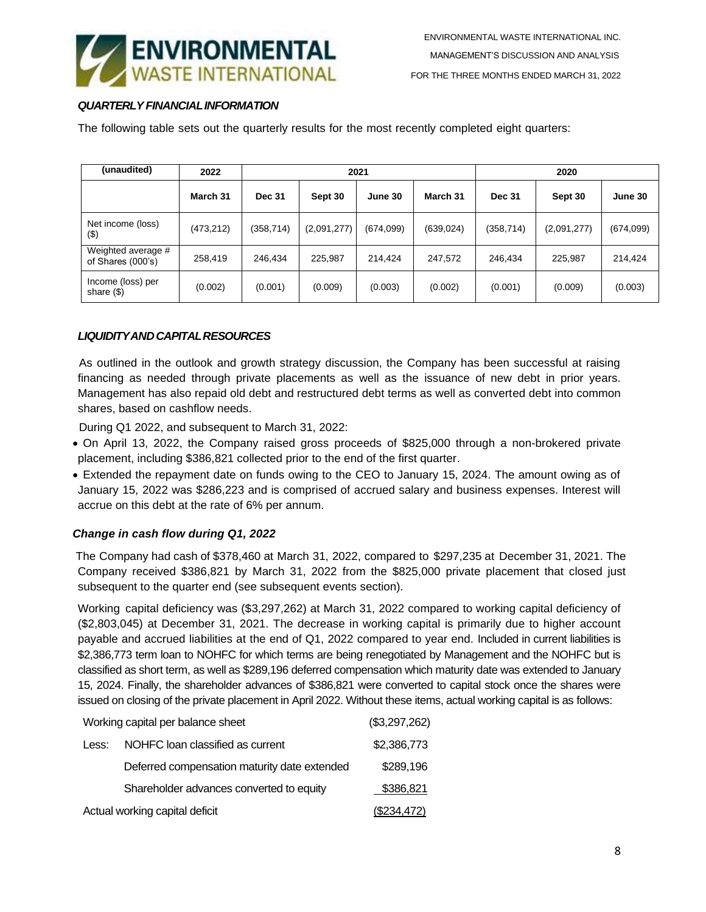

# *QUARTERLYFINANCIALINFORMATION*

The following table sets out the quarterly results for the most recently completed eight quarters:

| (unaudited)                             | 2022      | 2021          |             |           | 2020       |               |             |           |
|-----------------------------------------|-----------|---------------|-------------|-----------|------------|---------------|-------------|-----------|
|                                         | March 31  | <b>Dec 31</b> | Sept 30     | June 30   | March 31   | <b>Dec 31</b> | Sept 30     | June 30   |
| Net income (loss)<br>(3)                | (473,212) | (358,714)     | (2,091,277) | (674,099) | (639, 024) | (358,714)     | (2,091,277) | (674,099) |
| Weighted average #<br>of Shares (000's) | 258,419   | 246.434       | 225.987     | 214.424   | 247,572    | 246.434       | 225,987     | 214.424   |
| Income (loss) per<br>share $(\$)$       | (0.002)   | (0.001)       | (0.009)     | (0.003)   | (0.002)    | (0.001)       | (0.009)     | (0.003)   |

## *LIQUIDITYANDCAPITALRESOURCES*

As outlined in the outlook and growth strategy discussion, the Company has been successful at raising financing as needed through private placements as well as the issuance of new debt in prior years. Management has also repaid old debt and restructured debt terms as well as converted debt into common shares, based on cashflow needs.

During Q1 2022, and subsequent to March 31, 2022:

- On April 13, 2022, the Company raised gross proceeds of \$825,000 through a non-brokered private placement, including \$386,821 collected prior to the end of the first quarter.
- Extended the repayment date on funds owing to the CEO to January 15, 2024. The amount owing as of January 15, 2022 was \$286,223 and is comprised of accrued salary and business expenses. Interest will accrue on this debt at the rate of 6% per annum.

## *Change in cash flow during Q1, 2022*

The Company had cash of \$378,460 at March 31, 2022, compared to \$297,235 at December 31, 2021. The Company received \$386,821 by March 31, 2022 from the \$825,000 private placement that closed just subsequent to the quarter end (see subsequent events section).

Working capital deficiency was (\$3,297,262) at March 31, 2022 compared to working capital deficiency of (\$2,803,045) at December 31, 2021. The decrease in working capital is primarily due to higher account payable and accrued liabilities at the end of Q1, 2022 compared to year end. Included in current liabilities is \$2,386,773 term loan to NOHFC for which terms are being renegotiated by Management and the NOHFC but is classified as short term, as well as \$289,196 deferred compensation which maturity date was extended to January 15, 2024. Finally, the shareholder advances of \$386,821 were converted to capital stock once the shares were issued on closing of the private placement in April 2022. Without these items, actual working capital is as follows:

| Working capital per balance sheet | (\$3,297,262)                                |             |
|-----------------------------------|----------------------------------------------|-------------|
| Less:                             | NOHFC loan classified as current             | \$2,386,773 |
|                                   | Deferred compensation maturity date extended | \$289,196   |
|                                   | Shareholder advances converted to equity     | \$386,821   |
| Actual working capital deficit    | (\$234,472)                                  |             |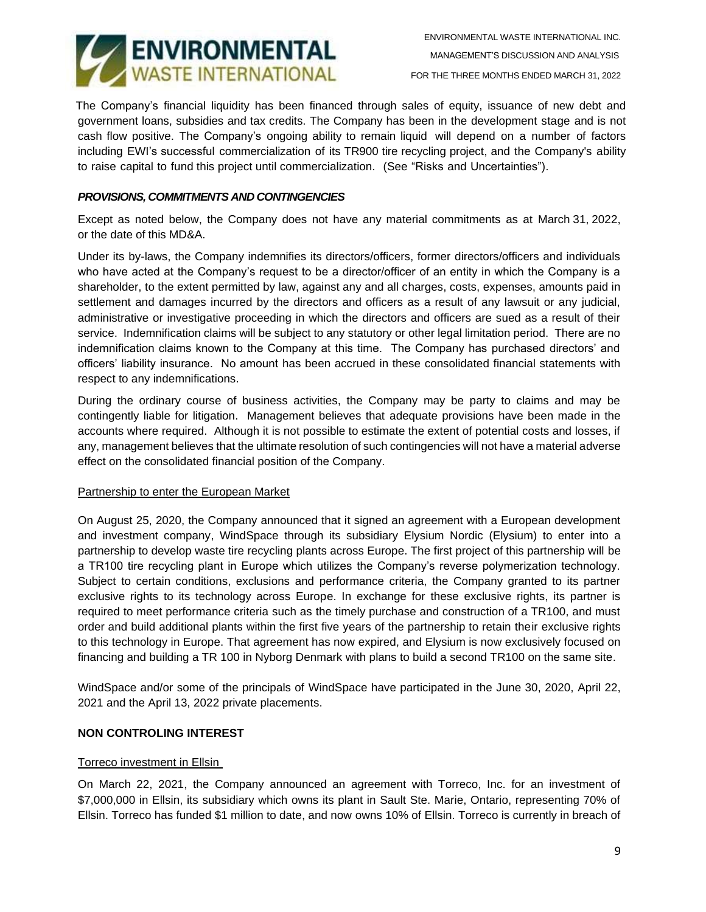

The Company's financial liquidity has been financed through sales of equity, issuance of new debt and government loans, subsidies and tax credits. The Company has been in the development stage and is not cash flow positive. The Company's ongoing ability to remain liquid will depend on a number of factors including EWI's successful commercialization of its TR900 tire recycling project, and the Company's ability to raise capital to fund this project until commercialization. (See "Risks and Uncertainties").

## *PROVISIONS, COMMITMENTS AND CONTINGENCIES*

Except as noted below, the Company does not have any material commitments as at March 31, 2022, or the date of this MD&A.

Under its by-laws, the Company indemnifies its directors/officers, former directors/officers and individuals who have acted at the Company's request to be a director/officer of an entity in which the Company is a shareholder, to the extent permitted by law, against any and all charges, costs, expenses, amounts paid in settlement and damages incurred by the directors and officers as a result of any lawsuit or any judicial, administrative or investigative proceeding in which the directors and officers are sued as a result of their service. Indemnification claims will be subject to any statutory or other legal limitation period. There are no indemnification claims known to the Company at this time. The Company has purchased directors' and officers' liability insurance. No amount has been accrued in these consolidated financial statements with respect to any indemnifications.

During the ordinary course of business activities, the Company may be party to claims and may be contingently liable for litigation. Management believes that adequate provisions have been made in the accounts where required. Although it is not possible to estimate the extent of potential costs and losses, if any, management believes that the ultimate resolution of such contingencies will not have a material adverse effect on the consolidated financial position of the Company.

#### Partnership to enter the European Market

On August 25, 2020, the Company announced that it signed an agreement with a European development and investment company, WindSpace through its subsidiary Elysium Nordic (Elysium) to enter into a partnership to develop waste tire recycling plants across Europe. The first project of this partnership will be a TR100 tire recycling plant in Europe which utilizes the Company's reverse polymerization technology. Subject to certain conditions, exclusions and performance criteria, the Company granted to its partner exclusive rights to its technology across Europe. In exchange for these exclusive rights, its partner is required to meet performance criteria such as the timely purchase and construction of a TR100, and must order and build additional plants within the first five years of the partnership to retain their exclusive rights to this technology in Europe. That agreement has now expired, and Elysium is now exclusively focused on financing and building a TR 100 in Nyborg Denmark with plans to build a second TR100 on the same site.

WindSpace and/or some of the principals of WindSpace have participated in the June 30, 2020, April 22, 2021 and the April 13, 2022 private placements.

#### **NON CONTROLING INTEREST**

#### Torreco investment in Ellsin

On March 22, 2021, the Company announced an agreement with Torreco, Inc. for an investment of \$7,000,000 in Ellsin, its subsidiary which owns its plant in Sault Ste. Marie, Ontario, representing 70% of Ellsin. Torreco has funded \$1 million to date, and now owns 10% of Ellsin. Torreco is currently in breach of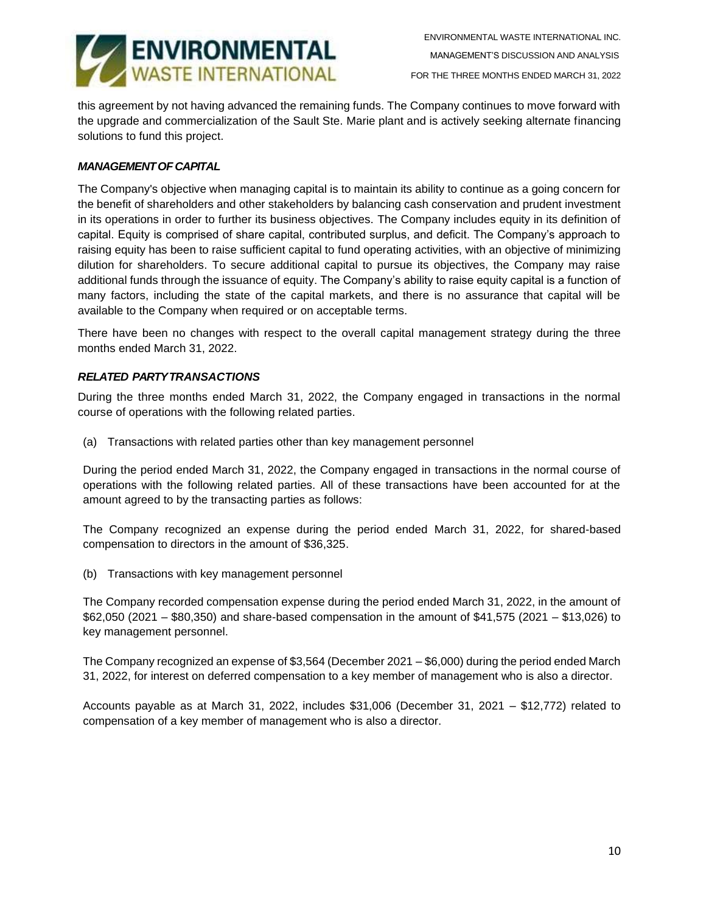

this agreement by not having advanced the remaining funds. The Company continues to move forward with the upgrade and commercialization of the Sault Ste. Marie plant and is actively seeking alternate financing solutions to fund this project.

# *MANAGEMENTOFCAPITAL*

The Company's objective when managing capital is to maintain its ability to continue as a going concern for the benefit of shareholders and other stakeholders by balancing cash conservation and prudent investment in its operations in order to further its business objectives. The Company includes equity in its definition of capital. Equity is comprised of share capital, contributed surplus, and deficit. The Company's approach to raising equity has been to raise sufficient capital to fund operating activities, with an objective of minimizing dilution for shareholders. To secure additional capital to pursue its objectives, the Company may raise additional funds through the issuance of equity. The Company's ability to raise equity capital is a function of many factors, including the state of the capital markets, and there is no assurance that capital will be available to the Company when required or on acceptable terms.

There have been no changes with respect to the overall capital management strategy during the three months ended March 31, 2022.

## *RELATED PARTYTRANSACTIONS*

During the three months ended March 31, 2022, the Company engaged in transactions in the normal course of operations with the following related parties.

(a) Transactions with related parties other than key management personnel

During the period ended March 31, 2022, the Company engaged in transactions in the normal course of operations with the following related parties. All of these transactions have been accounted for at the amount agreed to by the transacting parties as follows:

The Company recognized an expense during the period ended March 31, 2022, for shared-based compensation to directors in the amount of \$36,325.

(b) Transactions with key management personnel

The Company recorded compensation expense during the period ended March 31, 2022, in the amount of \$62,050 (2021 – \$80,350) and share-based compensation in the amount of \$41,575 (2021 – \$13,026) to key management personnel.

The Company recognized an expense of \$3,564 (December 2021 – \$6,000) during the period ended March 31, 2022, for interest on deferred compensation to a key member of management who is also a director.

Accounts payable as at March 31, 2022, includes \$31,006 (December 31, 2021 – \$12,772) related to compensation of a key member of management who is also a director.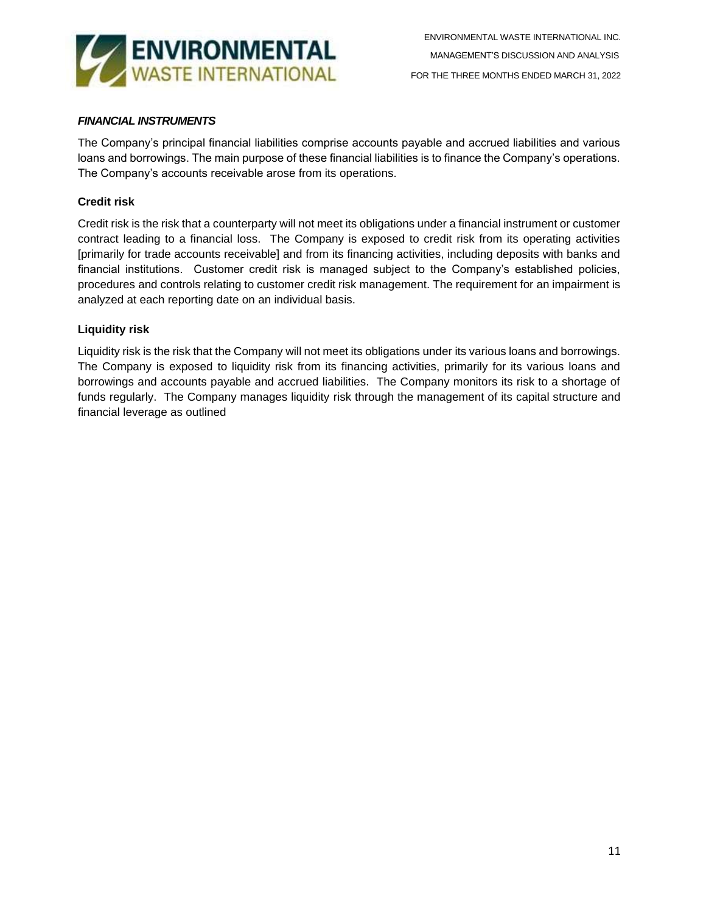

# *FINANCIAL INSTRUMENTS*

The Company's principal financial liabilities comprise accounts payable and accrued liabilities and various loans and borrowings. The main purpose of these financial liabilities is to finance the Company's operations. The Company's accounts receivable arose from its operations.

# **Credit risk**

Credit risk is the risk that a counterparty will not meet its obligations under a financial instrument or customer contract leading to a financial loss. The Company is exposed to credit risk from its operating activities [primarily for trade accounts receivable] and from its financing activities, including deposits with banks and financial institutions. Customer credit risk is managed subject to the Company's established policies, procedures and controls relating to customer credit risk management. The requirement for an impairment is analyzed at each reporting date on an individual basis.

# **Liquidity risk**

Liquidity risk is the risk that the Company will not meet its obligations under its various loans and borrowings. The Company is exposed to liquidity risk from its financing activities, primarily for its various loans and borrowings and accounts payable and accrued liabilities. The Company monitors its risk to a shortage of funds regularly. The Company manages liquidity risk through the management of its capital structure and financial leverage as outlined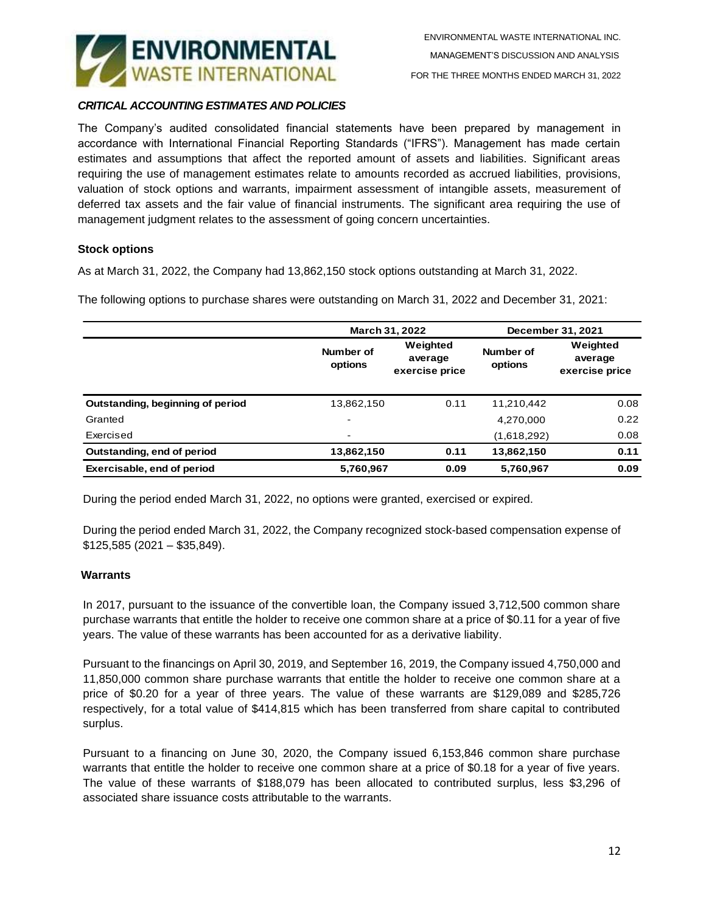

## *CRITICAL ACCOUNTING ESTIMATES AND POLICIES*

The Company's audited consolidated financial statements have been prepared by management in accordance with International Financial Reporting Standards ("IFRS"). Management has made certain estimates and assumptions that affect the reported amount of assets and liabilities. Significant areas requiring the use of management estimates relate to amounts recorded as accrued liabilities, provisions, valuation of stock options and warrants, impairment assessment of intangible assets, measurement of deferred tax assets and the fair value of financial instruments. The significant area requiring the use of management judgment relates to the assessment of going concern uncertainties.

### **Stock options**

As at March 31, 2022, the Company had 13,862,150 stock options outstanding at March 31, 2022.

The following options to purchase shares were outstanding on March 31, 2022 and December 31, 2021:

|                                  |                      | March 31, 2022                        | December 31, 2021 |                                       |  |
|----------------------------------|----------------------|---------------------------------------|-------------------|---------------------------------------|--|
|                                  | Number of<br>options | Weighted<br>average<br>exercise price |                   | Weighted<br>average<br>exercise price |  |
| Outstanding, beginning of period | 13,862,150           | 0.11                                  | 11,210,442        | 0.08                                  |  |
| Granted                          | $\blacksquare$       |                                       | 4,270,000         | 0.22                                  |  |
| Exercised                        | $\blacksquare$       |                                       | (1,618,292)       | 0.08                                  |  |
| Outstanding, end of period       | 13,862,150           | 0.11                                  | 13,862,150        | 0.11                                  |  |
| Exercisable, end of period       | 5,760,967            | 0.09                                  | 5,760,967         | 0.09                                  |  |

During the period ended March 31, 2022, no options were granted, exercised or expired.

During the period ended March 31, 2022, the Company recognized stock-based compensation expense of \$125,585 (2021 – \$35,849).

#### **Warrants**

In 2017, pursuant to the issuance of the convertible loan, the Company issued 3,712,500 common share purchase warrants that entitle the holder to receive one common share at a price of \$0.11 for a year of five years. The value of these warrants has been accounted for as a derivative liability.

Pursuant to the financings on April 30, 2019, and September 16, 2019, the Company issued 4,750,000 and 11,850,000 common share purchase warrants that entitle the holder to receive one common share at a price of \$0.20 for a year of three years. The value of these warrants are \$129,089 and \$285,726 respectively, for a total value of \$414,815 which has been transferred from share capital to contributed surplus.

Pursuant to a financing on June 30, 2020, the Company issued 6,153,846 common share purchase warrants that entitle the holder to receive one common share at a price of \$0.18 for a year of five years. The value of these warrants of \$188,079 has been allocated to contributed surplus, less \$3,296 of associated share issuance costs attributable to the warrants.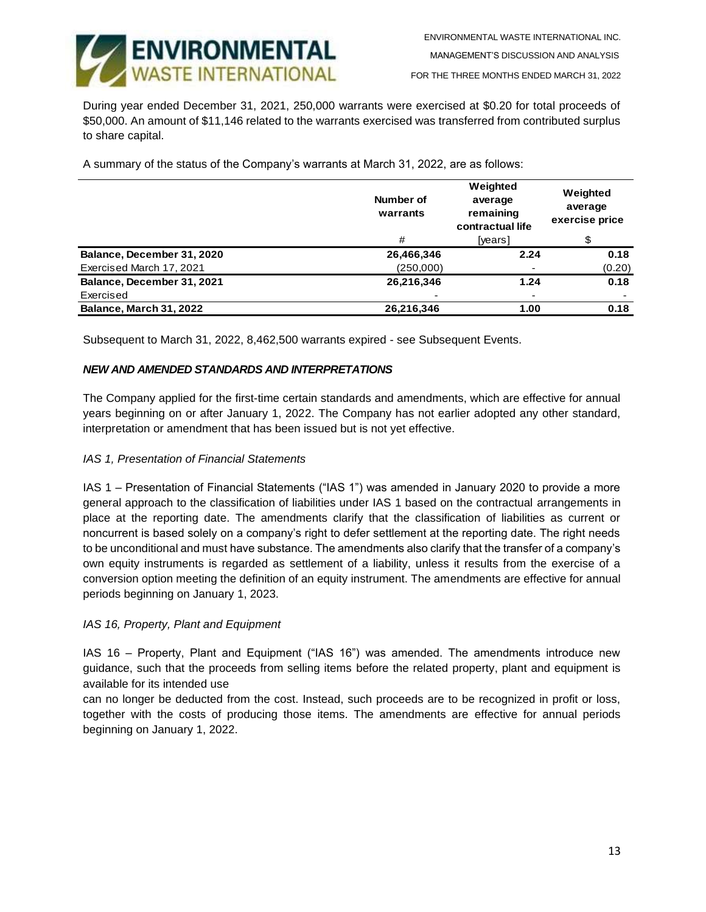

FOR THE THREE MONTHS ENDED MARCH 31, 2022

During year ended December 31, 2021, 250,000 warrants were exercised at \$0.20 for total proceeds of \$50,000. An amount of \$11,146 related to the warrants exercised was transferred from contributed surplus to share capital.

A summary of the status of the Company's warrants at March 31, 2022, are as follows:

|                            | Number of<br>warrants | Weighted<br>average<br>remaining<br>contractual life | Weighted<br>average<br>exercise price |
|----------------------------|-----------------------|------------------------------------------------------|---------------------------------------|
|                            | #                     | [years]                                              | \$                                    |
| Balance, December 31, 2020 | 26,466,346            | 2.24                                                 | 0.18                                  |
| Exercised March 17, 2021   | (250,000)             |                                                      | (0.20)                                |
| Balance, December 31, 2021 | 26,216,346            | 1.24                                                 | 0.18                                  |
| Exercised                  |                       | ۰                                                    |                                       |
| Balance, March 31, 2022    | 26,216,346            | 1.00                                                 | 0.18                                  |

Subsequent to March 31, 2022, 8,462,500 warrants expired - see Subsequent Events.

### *NEW AND AMENDED STANDARDS AND INTERPRETATIONS*

The Company applied for the first-time certain standards and amendments, which are effective for annual years beginning on or after January 1, 2022. The Company has not earlier adopted any other standard, interpretation or amendment that has been issued but is not yet effective.

#### *IAS 1, Presentation of Financial Statements*

IAS 1 – Presentation of Financial Statements ("IAS 1") was amended in January 2020 to provide a more general approach to the classification of liabilities under IAS 1 based on the contractual arrangements in place at the reporting date. The amendments clarify that the classification of liabilities as current or noncurrent is based solely on a company's right to defer settlement at the reporting date. The right needs to be unconditional and must have substance. The amendments also clarify that the transfer of a company's own equity instruments is regarded as settlement of a liability, unless it results from the exercise of a conversion option meeting the definition of an equity instrument. The amendments are effective for annual periods beginning on January 1, 2023.

#### *IAS 16, Property, Plant and Equipment*

IAS 16 – Property, Plant and Equipment ("IAS 16") was amended. The amendments introduce new guidance, such that the proceeds from selling items before the related property, plant and equipment is available for its intended use

can no longer be deducted from the cost. Instead, such proceeds are to be recognized in profit or loss, together with the costs of producing those items. The amendments are effective for annual periods beginning on January 1, 2022.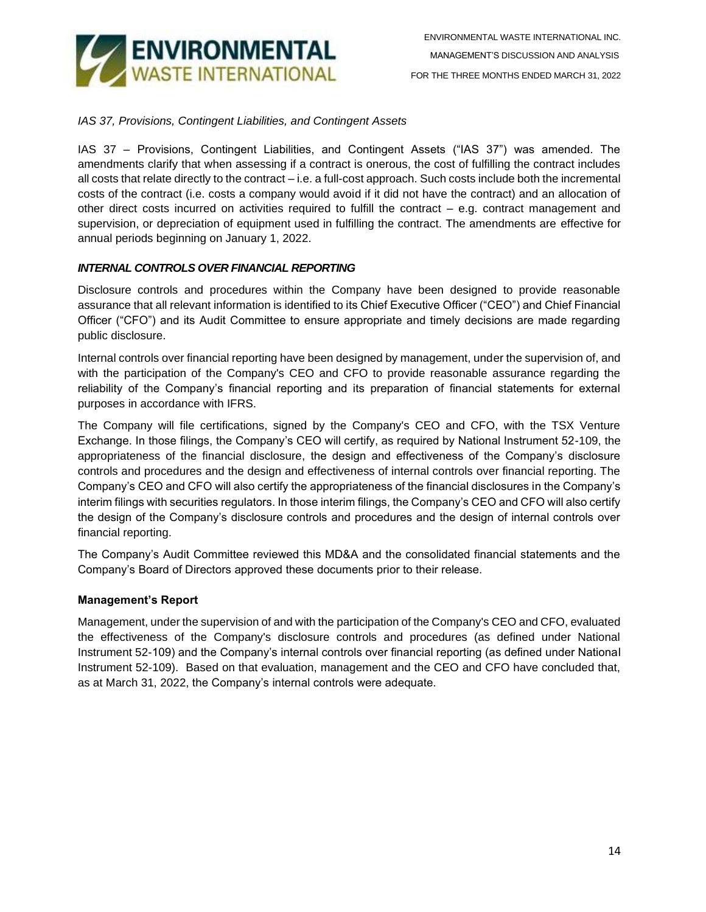

# *IAS 37, Provisions, Contingent Liabilities, and Contingent Assets*

IAS 37 – Provisions, Contingent Liabilities, and Contingent Assets ("IAS 37") was amended. The amendments clarify that when assessing if a contract is onerous, the cost of fulfilling the contract includes all costs that relate directly to the contract – i.e. a full-cost approach. Such costs include both the incremental costs of the contract (i.e. costs a company would avoid if it did not have the contract) and an allocation of other direct costs incurred on activities required to fulfill the contract – e.g. contract management and supervision, or depreciation of equipment used in fulfilling the contract. The amendments are effective for annual periods beginning on January 1, 2022.

## *INTERNAL CONTROLS OVER FINANCIAL REPORTING*

Disclosure controls and procedures within the Company have been designed to provide reasonable assurance that all relevant information is identified to its Chief Executive Officer ("CEO") and Chief Financial Officer ("CFO") and its Audit Committee to ensure appropriate and timely decisions are made regarding public disclosure.

Internal controls over financial reporting have been designed by management, under the supervision of, and with the participation of the Company's CEO and CFO to provide reasonable assurance regarding the reliability of the Company's financial reporting and its preparation of financial statements for external purposes in accordance with IFRS.

The Company will file certifications, signed by the Company's CEO and CFO, with the TSX Venture Exchange. In those filings, the Company's CEO will certify, as required by National Instrument 52-109, the appropriateness of the financial disclosure, the design and effectiveness of the Company's disclosure controls and procedures and the design and effectiveness of internal controls over financial reporting. The Company's CEO and CFO will also certify the appropriateness of the financial disclosures in the Company's interim filings with securities regulators. In those interim filings, the Company's CEO and CFO will also certify the design of the Company's disclosure controls and procedures and the design of internal controls over financial reporting.

The Company's Audit Committee reviewed this MD&A and the consolidated financial statements and the Company's Board of Directors approved these documents prior to their release.

## **Management's Report**

Management, under the supervision of and with the participation of the Company's CEO and CFO, evaluated the effectiveness of the Company's disclosure controls and procedures (as defined under National Instrument 52-109) and the Company's internal controls over financial reporting (as defined under National Instrument 52-109). Based on that evaluation, management and the CEO and CFO have concluded that, as at March 31, 2022, the Company's internal controls were adequate.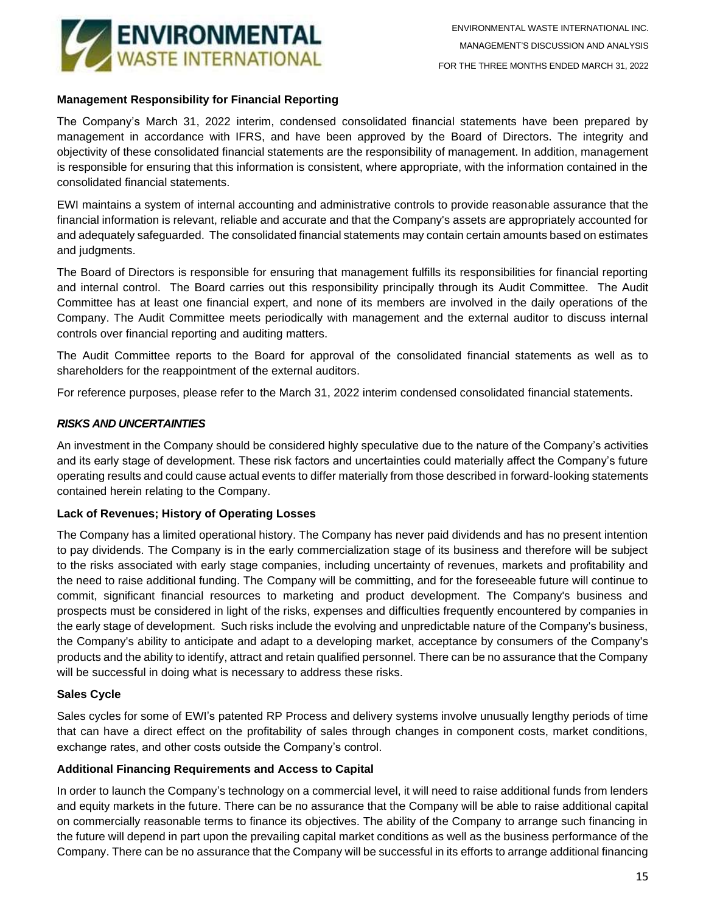

# **Management Responsibility for Financial Reporting**

The Company's March 31, 2022 interim, condensed consolidated financial statements have been prepared by management in accordance with IFRS, and have been approved by the Board of Directors. The integrity and objectivity of these consolidated financial statements are the responsibility of management. In addition, management is responsible for ensuring that this information is consistent, where appropriate, with the information contained in the consolidated financial statements.

EWI maintains a system of internal accounting and administrative controls to provide reasonable assurance that the financial information is relevant, reliable and accurate and that the Company's assets are appropriately accounted for and adequately safeguarded. The consolidated financial statements may contain certain amounts based on estimates and judgments.

The Board of Directors is responsible for ensuring that management fulfills its responsibilities for financial reporting and internal control. The Board carries out this responsibility principally through its Audit Committee. The Audit Committee has at least one financial expert, and none of its members are involved in the daily operations of the Company. The Audit Committee meets periodically with management and the external auditor to discuss internal controls over financial reporting and auditing matters.

The Audit Committee reports to the Board for approval of the consolidated financial statements as well as to shareholders for the reappointment of the external auditors.

For reference purposes, please refer to the March 31, 2022 interim condensed consolidated financial statements.

## *RISKS AND UNCERTAINTIES*

An investment in the Company should be considered highly speculative due to the nature of the Company's activities and its early stage of development. These risk factors and uncertainties could materially affect the Company's future operating results and could cause actual events to differ materially from those described in forward-looking statements contained herein relating to the Company.

## **Lack of Revenues; History of Operating Losses**

The Company has a limited operational history. The Company has never paid dividends and has no present intention to pay dividends. The Company is in the early commercialization stage of its business and therefore will be subject to the risks associated with early stage companies, including uncertainty of revenues, markets and profitability and the need to raise additional funding. The Company will be committing, and for the foreseeable future will continue to commit, significant financial resources to marketing and product development. The Company's business and prospects must be considered in light of the risks, expenses and difficulties frequently encountered by companies in the early stage of development. Such risks include the evolving and unpredictable nature of the Company's business, the Company's ability to anticipate and adapt to a developing market, acceptance by consumers of the Company's products and the ability to identify, attract and retain qualified personnel. There can be no assurance that the Company will be successful in doing what is necessary to address these risks.

## **Sales Cycle**

Sales cycles for some of EWI's patented RP Process and delivery systems involve unusually lengthy periods of time that can have a direct effect on the profitability of sales through changes in component costs, market conditions, exchange rates, and other costs outside the Company's control.

## **Additional Financing Requirements and Access to Capital**

In order to launch the Company's technology on a commercial level, it will need to raise additional funds from lenders and equity markets in the future. There can be no assurance that the Company will be able to raise additional capital on commercially reasonable terms to finance its objectives. The ability of the Company to arrange such financing in the future will depend in part upon the prevailing capital market conditions as well as the business performance of the Company. There can be no assurance that the Company will be successful in its efforts to arrange additional financing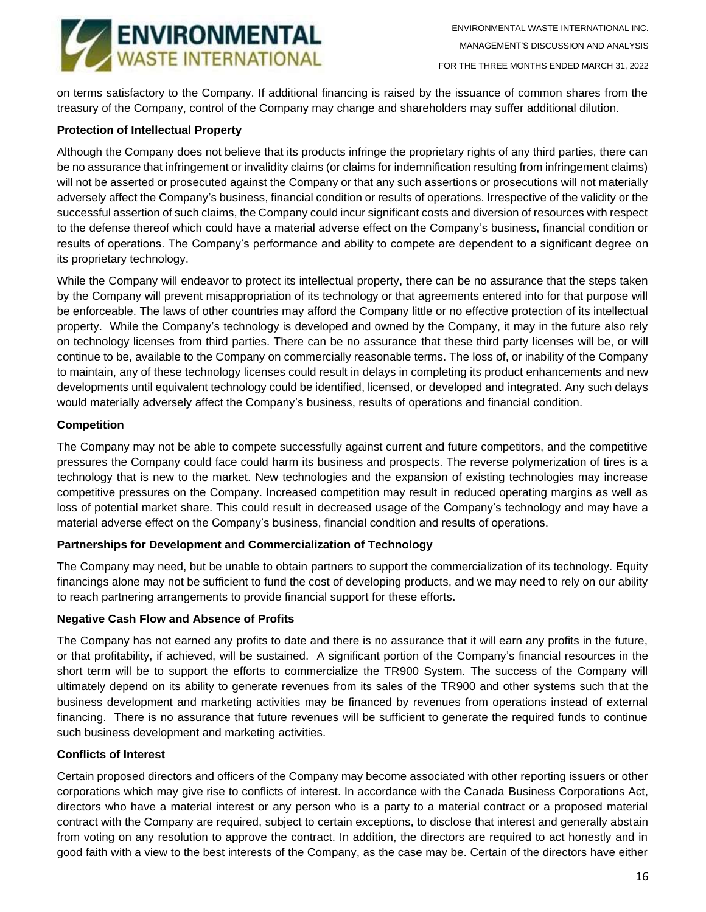

on terms satisfactory to the Company. If additional financing is raised by the issuance of common shares from the treasury of the Company, control of the Company may change and shareholders may suffer additional dilution.

# **Protection of Intellectual Property**

Although the Company does not believe that its products infringe the proprietary rights of any third parties, there can be no assurance that infringement or invalidity claims (or claims for indemnification resulting from infringement claims) will not be asserted or prosecuted against the Company or that any such assertions or prosecutions will not materially adversely affect the Company's business, financial condition or results of operations. Irrespective of the validity or the successful assertion of such claims, the Company could incur significant costs and diversion of resources with respect to the defense thereof which could have a material adverse effect on the Company's business, financial condition or results of operations. The Company's performance and ability to compete are dependent to a significant degree on its proprietary technology.

While the Company will endeavor to protect its intellectual property, there can be no assurance that the steps taken by the Company will prevent misappropriation of its technology or that agreements entered into for that purpose will be enforceable. The laws of other countries may afford the Company little or no effective protection of its intellectual property. While the Company's technology is developed and owned by the Company, it may in the future also rely on technology licenses from third parties. There can be no assurance that these third party licenses will be, or will continue to be, available to the Company on commercially reasonable terms. The loss of, or inability of the Company to maintain, any of these technology licenses could result in delays in completing its product enhancements and new developments until equivalent technology could be identified, licensed, or developed and integrated. Any such delays would materially adversely affect the Company's business, results of operations and financial condition.

# **Competition**

The Company may not be able to compete successfully against current and future competitors, and the competitive pressures the Company could face could harm its business and prospects. The reverse polymerization of tires is a technology that is new to the market. New technologies and the expansion of existing technologies may increase competitive pressures on the Company. Increased competition may result in reduced operating margins as well as loss of potential market share. This could result in decreased usage of the Company's technology and may have a material adverse effect on the Company's business, financial condition and results of operations.

## **Partnerships for Development and Commercialization of Technology**

The Company may need, but be unable to obtain partners to support the commercialization of its technology. Equity financings alone may not be sufficient to fund the cost of developing products, and we may need to rely on our ability to reach partnering arrangements to provide financial support for these efforts.

## **Negative Cash Flow and Absence of Profits**

The Company has not earned any profits to date and there is no assurance that it will earn any profits in the future, or that profitability, if achieved, will be sustained. A significant portion of the Company's financial resources in the short term will be to support the efforts to commercialize the TR900 System. The success of the Company will ultimately depend on its ability to generate revenues from its sales of the TR900 and other systems such that the business development and marketing activities may be financed by revenues from operations instead of external financing. There is no assurance that future revenues will be sufficient to generate the required funds to continue such business development and marketing activities.

## **Conflicts of Interest**

Certain proposed directors and officers of the Company may become associated with other reporting issuers or other corporations which may give rise to conflicts of interest. In accordance with the Canada Business Corporations Act, directors who have a material interest or any person who is a party to a material contract or a proposed material contract with the Company are required, subject to certain exceptions, to disclose that interest and generally abstain from voting on any resolution to approve the contract. In addition, the directors are required to act honestly and in good faith with a view to the best interests of the Company, as the case may be. Certain of the directors have either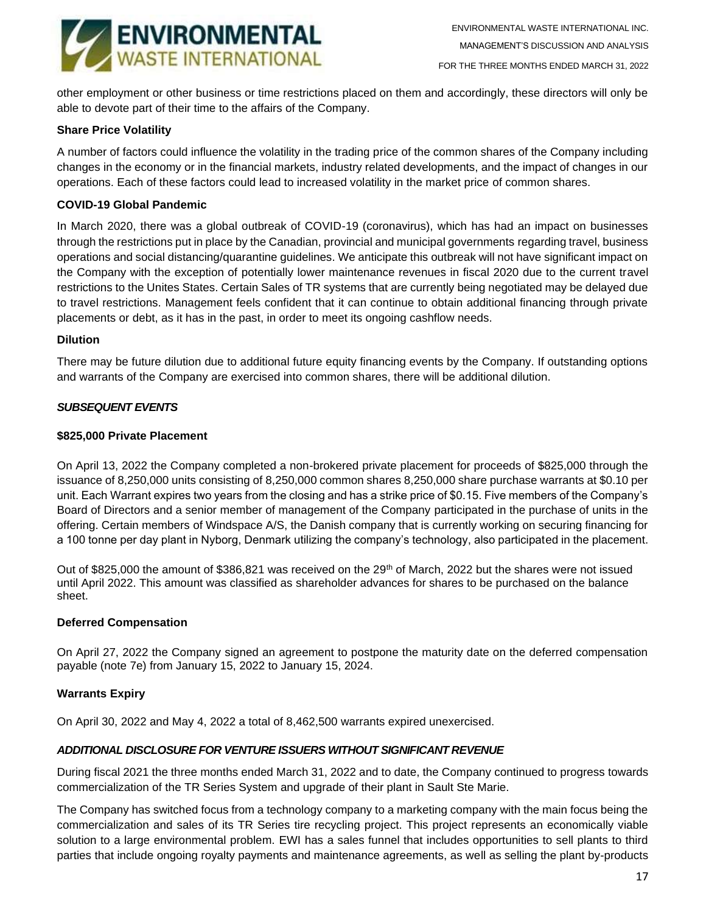

other employment or other business or time restrictions placed on them and accordingly, these directors will only be able to devote part of their time to the affairs of the Company.

## **Share Price Volatility**

A number of factors could influence the volatility in the trading price of the common shares of the Company including changes in the economy or in the financial markets, industry related developments, and the impact of changes in our operations. Each of these factors could lead to increased volatility in the market price of common shares.

## **COVID-19 Global Pandemic**

In March 2020, there was a global outbreak of COVID-19 (coronavirus), which has had an impact on businesses through the restrictions put in place by the Canadian, provincial and municipal governments regarding travel, business operations and social distancing/quarantine guidelines. We anticipate this outbreak will not have significant impact on the Company with the exception of potentially lower maintenance revenues in fiscal 2020 due to the current travel restrictions to the Unites States. Certain Sales of TR systems that are currently being negotiated may be delayed due to travel restrictions. Management feels confident that it can continue to obtain additional financing through private placements or debt, as it has in the past, in order to meet its ongoing cashflow needs.

## **Dilution**

There may be future dilution due to additional future equity financing events by the Company. If outstanding options and warrants of the Company are exercised into common shares, there will be additional dilution.

# *SUBSEQUENT EVENTS*

## **\$825,000 Private Placement**

On April 13, 2022 the Company completed a non-brokered private placement for proceeds of \$825,000 through the issuance of 8,250,000 units consisting of 8,250,000 common shares 8,250,000 share purchase warrants at \$0.10 per unit. Each Warrant expires two years from the closing and has a strike price of \$0.15. Five members of the Company's Board of Directors and a senior member of management of the Company participated in the purchase of units in the offering. Certain members of Windspace A/S, the Danish company that is currently working on securing financing for a 100 tonne per day plant in Nyborg, Denmark utilizing the company's technology, also participated in the placement.

Out of \$825,000 the amount of \$386,821 was received on the 29<sup>th</sup> of March, 2022 but the shares were not issued until April 2022. This amount was classified as shareholder advances for shares to be purchased on the balance sheet.

## **Deferred Compensation**

On April 27, 2022 the Company signed an agreement to postpone the maturity date on the deferred compensation payable (note 7e) from January 15, 2022 to January 15, 2024.

# **Warrants Expiry**

On April 30, 2022 and May 4, 2022 a total of 8,462,500 warrants expired unexercised.

## *ADDITIONAL DISCLOSURE FOR VENTURE ISSUERS WITHOUT SIGNIFICANT REVENUE*

During fiscal 2021 the three months ended March 31, 2022 and to date, the Company continued to progress towards commercialization of the TR Series System and upgrade of their plant in Sault Ste Marie.

The Company has switched focus from a technology company to a marketing company with the main focus being the commercialization and sales of its TR Series tire recycling project. This project represents an economically viable solution to a large environmental problem. EWI has a sales funnel that includes opportunities to sell plants to third parties that include ongoing royalty payments and maintenance agreements, as well as selling the plant by-products